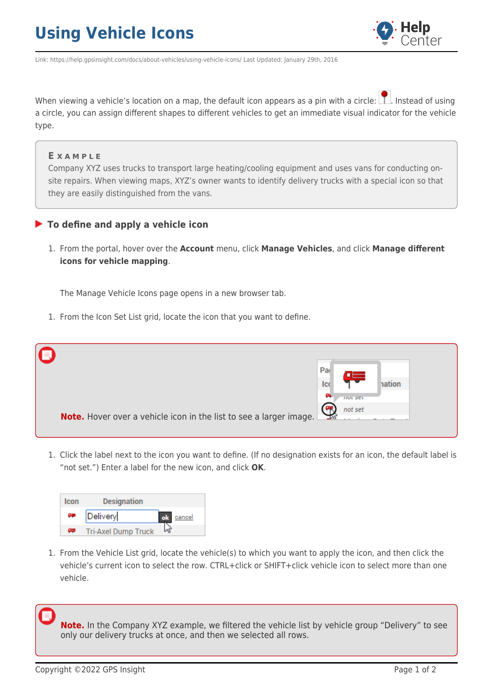## **Using Vehicle Icons**



Link: https://help.gpsinsight.com/docs/about-vehicles/using-vehicle-icons/ Last Updated: January 29th, 2016

When viewing a vehicle's location on a map, the default icon appears as a pin with a circle:  $\Box$ . Instead of using a circle, you can assign different shapes to different vehicles to get an immediate visual indicator for the vehicle type.

## **E X A M P L E**

Company XYZ uses trucks to transport large heating/cooling equipment and uses vans for conducting onsite repairs. When viewing maps, XYZ's owner wants to identify delivery trucks with a special icon so that they are easily distinguished from the vans.

## **To define and apply a vehicle icon**

1. From the portal, hover over the **Account** menu, click **Manage Vehicles**, and click **Manage different icons for vehicle mapping**.

The Manage Vehicle Icons page opens in a new browser tab.

1. From the Icon Set List grid, locate the icon that you want to define.



1. Click the label next to the icon you want to define. (If no designation exists for an icon, the default label is "not set.") Enter a label for the new icon, and click **OK**.



1. From the Vehicle List grid, locate the vehicle(s) to which you want to apply the icon, and then click the vehicle's current icon to select the row. CTRL+click or SHIFT+click vehicle icon to select more than one vehicle.

**Note.** In the Company XYZ example, we filtered the vehicle list by vehicle group "Delivery" to see only our delivery trucks at once, and then we selected all rows.